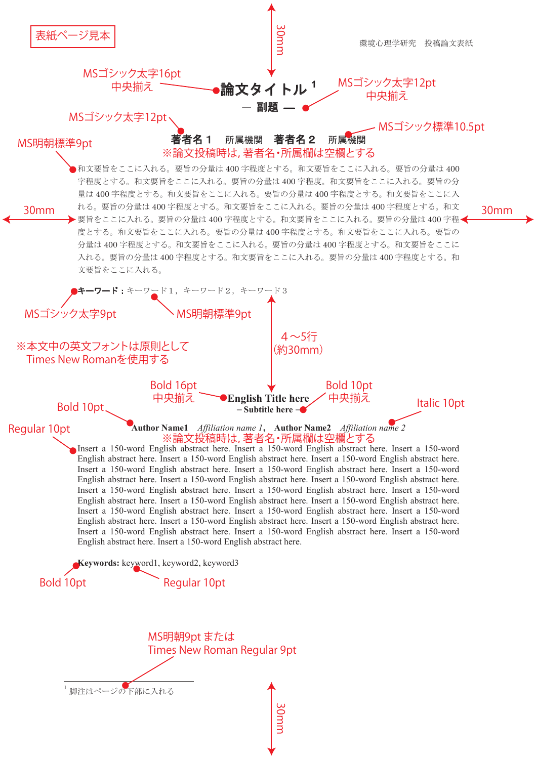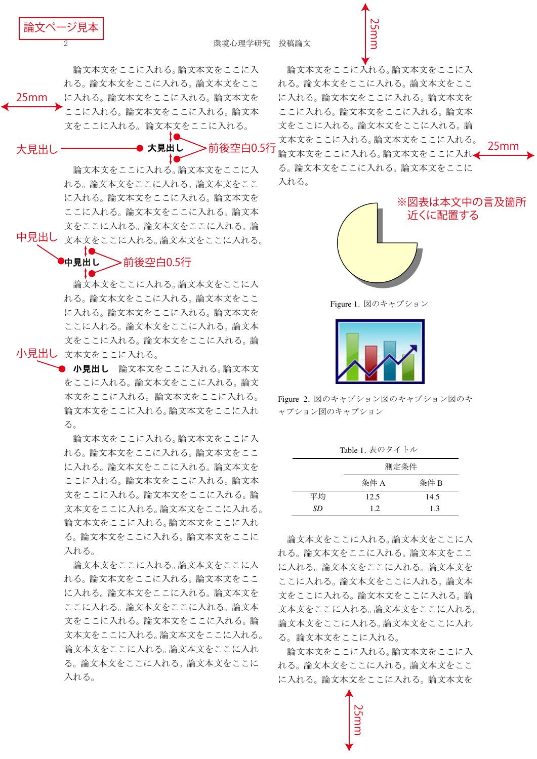$$
\frac{\mathbf{\hat{m}}\mathbf{\hat{x}}^{\prime}\mathbf{y} - \mathbf{\hat{y}}\mathbf{\hat{y}}\mathbf{\hat{x}}}{2}
$$

論文本文をここに入れる。論文本文をここに入 れる。論文本文をここに入れる。論文本文をここ に入れる。論文本文をここに入れる。論文本文を ここに入れる。論文本文をここに入れる。論文本 文をここに入れる。論文本文をここに入れる。 25mm

大見出し

▶大見出し 前後空白0.5行

論文本文をここに入れる。論文本文をここに入 れる。論文本文をここに入れる。論文本文をここ に入れる。論文本文をここに入れる。論文本文を ここに入れる。論文本文をここに入れる。論文本 文をここに入れる。論文本文をここに入れる。論 中見出し <sub>文本文をここに入れる。論文本文をここに入れる。</sub>

## ▶中見出し 前後空白0.5行

10

論文本文をここに入れる。論文本文をここに入 れる。論文本文をここに入れる。論文本文をここ に入れる。論文本文をここに入れる。論文本文を ここに入れる。論文本文をここに入れる。論文本 文をここに入れる。論文本文をここに入れる。論 小見出し 文本文をここに入れる。

> ○ 小見出し 論文本文をここに入れる。論文本文 をここに入れる。論文本文をここに入れる。論文 本文をここに入れる。論文本文をここに入れる。 論文本文をここに入れる。論文本文をここに入れ  $5^{\circ}$

論文本文をここに入れる。論文本文をここに入 れる。論文本文をここに入れる。論文本文をここ に入れる。論文本文をここに入れる。論文本文を ここに入れる。論文本文をここに入れる。論文本 文をここに入れる。論文本文をここに入れる。論 文本文をここに入れる。論文本文をここに入れる。 論文本文をここに入れる。論文本文をここに入れ る。論文本文をここに入れる。論文本文をここに 入れる。

論文本文をここに入れる。論文本文をここに入 れる。論文本文をここに入れる。論文本文をここ に入れる。論文本文をここに入れる。論文本文を ここに入れる。論文本文をここに入れる。論文本 文をここに入れる。論文本文をここに入れる。論 文本文をここに入れる。論文本文をここに入れる。 論文本文をここに入れる。論文本文をここに入れ る。論文本文をここに入れる。論文本文をここに 入れる。

論文本文をここに入れる。論文本文をここに入 れる。論文本文をここに入れる。論文本文をここ に入れる。論文本文をここに入れる。論文本文を ここに入れる。論文本文をここに入れる。論文本 文をここに入れる。論文本文をここに入れる。論 文本文をここに入れる。論文本文をここに入れる。 論文本文をここに入れる。論文本文をここに入れ▲ る。論文本文をここに入れる。論文本文をここに 入れる。

25mm



25mm

Figure 1. 図のキャプション



Figure 2. 図のキャプション図のキャプション図のキ ャプション図のキャプション

| Table 1. 表のタイトル |      |      |
|-----------------|------|------|
|                 | 測定条件 |      |
|                 | 条件 A | 条件 B |
| 平均              | 12.5 | 14.5 |
| SD              | 12   | 13   |

論文本文をここに入れる。論文本文をここに入 れる。論文本文をここに入れる。論文本文をここ に入れる。論文本文をここに入れる。論文本文を ここに入れる。論文本文をここに入れる。論文本 文をここに入れる。論文本文をここに入れる。論 文本文をここに入れる。論文本文をここに入れる。 論文本文をここに入れる。論文本文をここに入れ る。論文本文をここに入れる。

論文本文をここに入れる。論文本文をここに入 れる。論文本文をここに入れる。論文本文をここ に入れる。論文本文をここに入れる。論文本文を

25mm